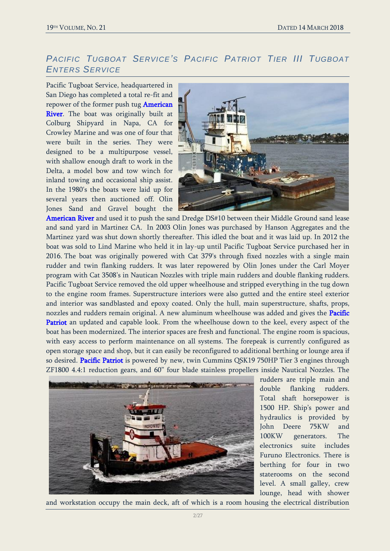## *PACIFIC TUGBOAT SERVICE'S PACIFIC PATRIOT TIER III TUGBOAT ENTERS SERVICE*

Pacific Tugboat Service, headquartered in San Diego has completed a total re-fit and repower of the former push tug American River. The boat was originally built at Colburg Shipyard in Napa, CA for Crowley Marine and was one of four that were built in the series. They were designed to be a multipurpose vessel, with shallow enough draft to work in the Delta, a model bow and tow winch for inland towing and occasional ship assist. In the 1980's the boats were laid up for several years then auctioned off. Olin Jones Sand and Gravel bought the



American River and used it to push the sand Dredge DS#10 between their Middle Ground sand lease and sand yard in Martinez CA. In 2003 Olin Jones was purchased by Hanson Aggregates and the Martinez yard was shut down shortly thereafter. This idled the boat and it was laid up. In 2012 the boat was sold to Lind Marine who held it in lay-up until Pacific Tugboat Service purchased her in 2016. The boat was originally powered with Cat 379's through fixed nozzles with a single main rudder and twin flanking rudders. It was later repowered by Olin Jones under the Carl Moyer program with Cat 3508's in Nautican Nozzles with triple main rudders and double flanking rudders. Pacific Tugboat Service removed the old upper wheelhouse and stripped everything in the tug down to the engine room frames. Superstructure interiors were also gutted and the entire steel exterior and interior was sandblasted and epoxy coated. Only the hull, main superstructure, shafts, props, nozzles and rudders remain original. A new aluminum wheelhouse was added and gives the Pacific Patriot an updated and capable look. From the wheelhouse down to the keel, every aspect of the boat has been modernized. The interior spaces are fresh and functional. The engine room is spacious, with easy access to perform maintenance on all systems. The forepeak is currently configured as open storage space and shop, but it can easily be reconfigured to additional berthing or lounge area if so desired. Pacific Patriot is powered by new, twin Cummins QSK19 750HP Tier 3 engines through ZF1800 4.4:1 reduction gears, and 60" four blade stainless propellers inside Nautical Nozzles. The



rudders are triple main and double flanking rudders. Total shaft horsepower is 1500 HP. Ship's power and hydraulics is provided by John Deere 75KW and 100KW generators. The electronics suite includes Furuno Electronics. There is berthing for four in two staterooms on the second level. A small galley, crew lounge, head with shower

and workstation occupy the main deck, aft of which is a room housing the electrical distribution